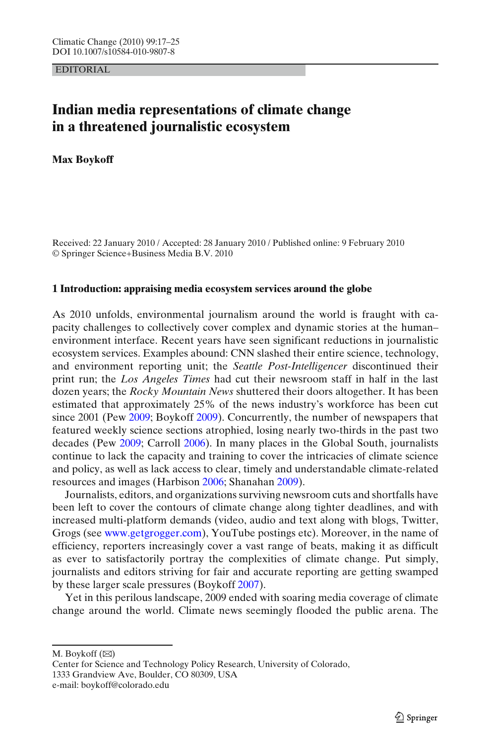EDITORIAL

# **Indian media representations of climate change in a threatened journalistic ecosystem**

## **Max Boykoff**

Received: 22 January 2010 / Accepted: 28 January 2010 / Published online: 9 February 2010 © Springer Science+Business Media B.V. 2010

## **1 Introduction: appraising media ecosystem services around the globe**

As 2010 unfolds, environmental journalism around the world is fraught with capacity challenges to collectively cover complex and dynamic stories at the human– environment interface. Recent years have seen significant reductions in journalistic ecosystem services. Examples abound: CNN slashed their entire science, technology, and environment reporting unit; the *Seattle Post-Intelligencer* discontinued their print run; the *Los Angeles Times* had cut their newsroom staff in half in the last dozen years; the *Rocky Mountain News* shuttered their doors altogether. It has been estimated that approximately 25% of the news industry's workforce has been cut since 2001 (Pe[w](#page-8-0) [2009](#page-8-0); Boyko[f](#page-7-0)f [2009\)](#page-7-0). Concurrently, the number of newspapers that featured weekly science sections atrophied, losing nearly two-thirds in the past two decades (Pe[w](#page-8-0) [2009](#page-8-0); Carrol[l](#page-8-0) [2006\)](#page-8-0). In many places in the Global South, journalists continue to lack the capacity and training to cover the intricacies of climate science and policy, as well as lack access to clear, timely and understandable climate-related resources and images (Harbiso[n](#page-8-0) [2006](#page-8-0); Shanaha[n](#page-8-0) [2009](#page-8-0)).

Journalists, editors, and organizations surviving newsroom cuts and shortfalls have been left to cover the contours of climate change along tighter deadlines, and with increased multi-platform demands (video, audio and text along with blogs, Twitter, Grogs (see [www.getgrogger.com\)](http://www.getgrogger.com), YouTube postings etc). Moreover, in the name of efficiency, reporters increasingly cover a vast range of beats, making it as difficult as ever to satisfactorily portray the complexities of climate change. Put simply, journalists and editors striving for fair and accurate reporting are getting swamped by these larger scale pressures (Boykof[f](#page-7-0) [2007](#page-7-0)).

Yet in this perilous landscape, 2009 ended with soaring media coverage of climate change around the world. Climate news seemingly flooded the public arena. The

M. Boykoff  $(\boxtimes)$ 

Center for Science and Technology Policy Research, University of Colorado, 1333 Grandview Ave, Boulder, CO 80309, USA

e-mail: boykoff@colorado.edu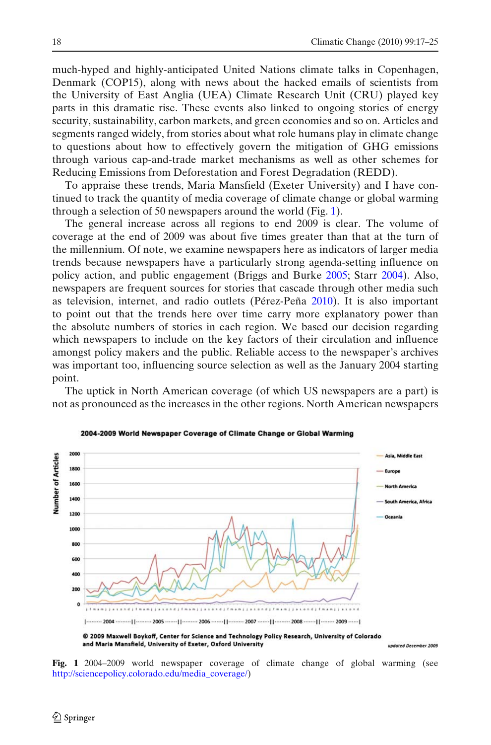much-hyped and highly-anticipated United Nations climate talks in Copenhagen, Denmark (COP15), along with news about the hacked emails of scientists from the University of East Anglia (UEA) Climate Research Unit (CRU) played key parts in this dramatic rise. These events also linked to ongoing stories of energy security, sustainability, carbon markets, and green economies and so on. Articles and segments ranged widely, from stories about what role humans play in climate change to questions about how to effectively govern the mitigation of GHG emissions through various cap-and-trade market mechanisms as well as other schemes for Reducing Emissions from Deforestation and Forest Degradation (REDD).

To appraise these trends, Maria Mansfield (Exeter University) and I have continued to track the quantity of media coverage of climate change or global warming through a selection of 50 newspapers around the world (Fig. 1).

The general increase across all regions to end 2009 is clear. The volume of coverage at the end of 2009 was about five times greater than that at the turn of the millennium. Of note, we examine newspapers here as indicators of larger media trends because newspapers have a particularly strong agenda-setting influence on policy action, and public engagement (Briggs and Burk[e](#page-7-0) [2005](#page-7-0); Star[r](#page-8-0) [2004\)](#page-8-0). Also, newspapers are frequent sources for stories that cascade through other media such as television, internet, and radio outlets (Pérez-Peñ[a](#page-8-0) [2010](#page-8-0)). It is also important to point out that the trends here over time carry more explanatory power than the absolute numbers of stories in each region. We based our decision regarding which newspapers to include on the key factors of their circulation and influence amongst policy makers and the public. Reliable access to the newspaper's archives was important too, influencing source selection as well as the January 2004 starting point.

The uptick in North American coverage (of which US newspapers are a part) is not as pronounced as the increases in the other regions. North American newspapers



#### 2004-2009 World Newspaper Coverage of Climate Change or Global Warming

@ 2009 Maxwell Boykoff, Center for Science and Technology Policy Research, University of Colorado and Maria Mansfield, University of Exeter, Oxford University

updated December 2009

**Fig. 1** 2004–2009 world newspaper coverage of climate change of global warming (see [http://sciencepolicy.colorado.edu/media\\_coverage/\)](http://sciencepolicy.colorado.edu/media_coverage/)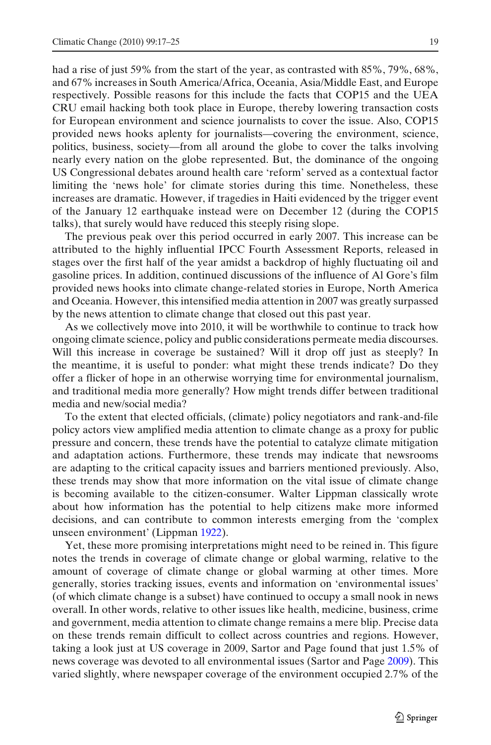had a rise of just 59% from the start of the year, as contrasted with 85%, 79%, 68%, and 67% increases in South America/Africa, Oceania, Asia/Middle East, and Europe respectively. Possible reasons for this include the facts that COP15 and the UEA CRU email hacking both took place in Europe, thereby lowering transaction costs for European environment and science journalists to cover the issue. Also, COP15 provided news hooks aplenty for journalists—covering the environment, science, politics, business, society—from all around the globe to cover the talks involving nearly every nation on the globe represented. But, the dominance of the ongoing US Congressional debates around health care 'reform' served as a contextual factor limiting the 'news hole' for climate stories during this time. Nonetheless, these increases are dramatic. However, if tragedies in Haiti evidenced by the trigger event of the January 12 earthquake instead were on December 12 (during the COP15 talks), that surely would have reduced this steeply rising slope.

The previous peak over this period occurred in early 2007. This increase can be attributed to the highly influential IPCC Fourth Assessment Reports, released in stages over the first half of the year amidst a backdrop of highly fluctuating oil and gasoline prices. In addition, continued discussions of the influence of Al Gore's film provided news hooks into climate change-related stories in Europe, North America and Oceania. However, this intensified media attention in 2007 was greatly surpassed by the news attention to climate change that closed out this past year.

As we collectively move into 2010, it will be worthwhile to continue to track how ongoing climate science, policy and public considerations permeate media discourses. Will this increase in coverage be sustained? Will it drop off just as steeply? In the meantime, it is useful to ponder: what might these trends indicate? Do they offer a flicker of hope in an otherwise worrying time for environmental journalism, and traditional media more generally? How might trends differ between traditional media and new/social media?

To the extent that elected officials, (climate) policy negotiators and rank-and-file policy actors view amplified media attention to climate change as a proxy for public pressure and concern, these trends have the potential to catalyze climate mitigation and adaptation actions. Furthermore, these trends may indicate that newsrooms are adapting to the critical capacity issues and barriers mentioned previously. Also, these trends may show that more information on the vital issue of climate change is becoming available to the citizen-consumer. Walter Lippman classically wrote about how information has the potential to help citizens make more informed decisions, and can contribute to common interests emerging from the 'complex unseen environment' (Lippma[n](#page-8-0) [1922\)](#page-8-0).

Yet, these more promising interpretations might need to be reined in. This figure notes the trends in coverage of climate change or global warming, relative to the amount of coverage of climate change or global warming at other times. More generally, stories tracking issues, events and information on 'environmental issues' (of which climate change is a subset) have continued to occupy a small nook in news overall. In other words, relative to other issues like health, medicine, business, crime and government, media attention to climate change remains a mere blip. Precise data on these trends remain difficult to collect across countries and regions. However, taking a look just at US coverage in 2009, Sartor and Page found that just 1.5% of news coverage was devoted to all environmental issues (Sartor and Pag[e](#page-8-0) [2009](#page-8-0)). This varied slightly, where newspaper coverage of the environment occupied 2.7% of the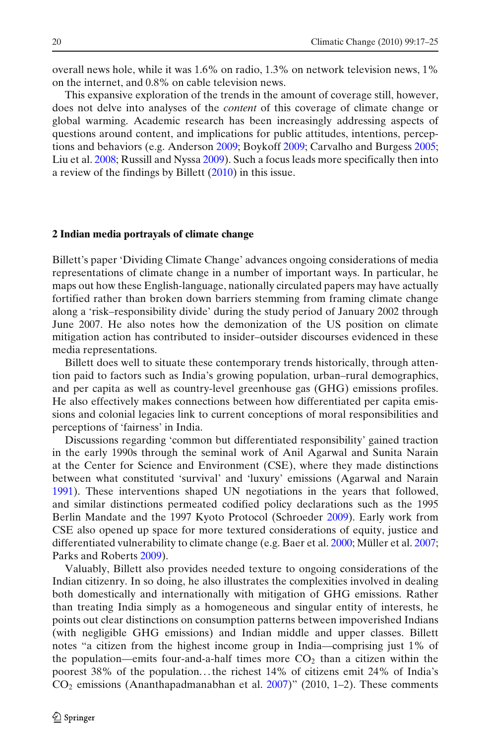overall news hole, while it was 1.6% on radio, 1.3% on network television news, 1% on the internet, and 0.8% on cable television news.

This expansive exploration of the trends in the amount of coverage still, however, does not delve into analyses of the *content* of this coverage of climate change or global warming. Academic research has been increasingly addressing aspects of questions around content, and implications for public attitudes, intentions, perceptions and behaviors (e.g. Anderso[n](#page-7-0) [2009;](#page-7-0) Boykof[f](#page-7-0) [2009;](#page-7-0) Carvalho and Burges[s](#page-8-0) [2005](#page-8-0); Liu et al[.](#page-8-0) [2008;](#page-8-0) Russill and Nyss[a](#page-8-0) [2009\)](#page-8-0). Such a focus leads more specifically then into a review of the findings by Billet[t](#page-7-0) [\(2010\)](#page-7-0) in this issue.

### **2 Indian media portrayals of climate change**

Billett's paper 'Dividing Climate Change' advances ongoing considerations of media representations of climate change in a number of important ways. In particular, he maps out how these English-language, nationally circulated papers may have actually fortified rather than broken down barriers stemming from framing climate change along a 'risk–responsibility divide' during the study period of January 2002 through June 2007. He also notes how the demonization of the US position on climate mitigation action has contributed to insider–outsider discourses evidenced in these media representations.

Billett does well to situate these contemporary trends historically, through attention paid to factors such as India's growing population, urban–rural demographics, and per capita as well as country-level greenhouse gas (GHG) emissions profiles. He also effectively makes connections between how differentiated per capita emissions and colonial legacies link to current conceptions of moral responsibilities and perceptions of 'fairness' in India.

Discussions regarding 'common but differentiated responsibility' gained traction in the early 1990s through the seminal work of Anil Agarwal and Sunita Narain at the Center for Science and Environment (CSE), where they made distinctions between what constituted 'survival' and 'luxury' emissions (Agarwal and Narai[n](#page-7-0) [1991\)](#page-7-0). These interventions shaped UN negotiations in the years that followed, and similar distinctions permeated codified policy declarations such as the 1995 Berlin Mandate and the 1997 Kyoto Protocol (Schroede[r](#page-8-0) [2009\)](#page-8-0). Early work from CSE also opened up space for more textured considerations of equity, justice and differentiated vulnerability to climate change (e.g. Baer et al[.](#page-7-0) [2000](#page-7-0); Müller et al[.](#page-8-0) [2007](#page-8-0); Parks and Robert[s](#page-8-0) [2009\)](#page-8-0).

Valuably, Billett also provides needed texture to ongoing considerations of the Indian citizenry. In so doing, he also illustrates the complexities involved in dealing both domestically and internationally with mitigation of GHG emissions. Rather than treating India simply as a homogeneous and singular entity of interests, he points out clear distinctions on consumption patterns between impoverished Indians (with negligible GHG emissions) and Indian middle and upper classes. Billett notes "a citizen from the highest income group in India—comprising just 1% of the population—emits four-and-a-half times more  $CO<sub>2</sub>$  than a citizen within the poorest 38% of the population. . . the richest 14% of citizens emit 24% of India's  $CO<sub>2</sub>$  emissions (Ananthapadmanabhan et al[.](#page-7-0) [2007\)](#page-7-0)" (2010, 1–2). These comments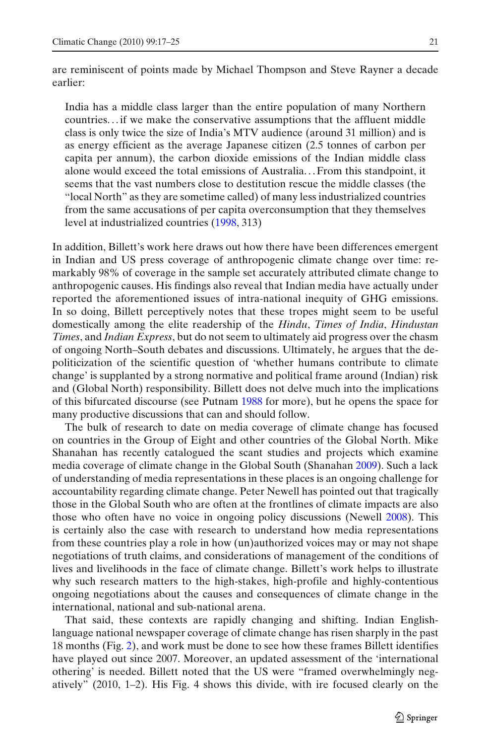are reminiscent of points made by Michael Thompson and Steve Rayner a decade earlier:

India has a middle class larger than the entire population of many Northern countries. . . if we make the conservative assumptions that the affluent middle class is only twice the size of India's MTV audience (around 31 million) and is as energy efficient as the average Japanese citizen (2.5 tonnes of carbon per capita per annum), the carbon dioxide emissions of the Indian middle class alone would exceed the total emissions of Australia. . . From this standpoint, it seems that the vast numbers close to destitution rescue the middle classes (the "local North" as they are sometime called) of many less industrialized countries from the same accusations of per capita overconsumption that they themselves level at industrialized countries [\(1998,](#page-8-0) 313)

In addition, Billett's work here draws out how there have been differences emergent in Indian and US press coverage of anthropogenic climate change over time: remarkably 98% of coverage in the sample set accurately attributed climate change to anthropogenic causes. His findings also reveal that Indian media have actually under reported the aforementioned issues of intra-national inequity of GHG emissions. In so doing, Billett perceptively notes that these tropes might seem to be useful domestically among the elite readership of the *Hindu*, *Times of India*, *Hindustan Times*, and *Indian Express*, but do not seem to ultimately aid progress over the chasm of ongoing North–South debates and discussions. Ultimately, he argues that the depoliticization of the scientific question of 'whether humans contribute to climate change' is supplanted by a strong normative and political frame around (Indian) risk and (Global North) responsibility. Billett does not delve much into the implications of this bifurcated discourse (see Putnam [1988](#page-8-0) for more), but he opens the space for many productive discussions that can and should follow.

The bulk of research to date on media coverage of climate change has focused on countries in the Group of Eight and other countries of the Global North. Mike Shanahan has recently catalogued the scant studies and projects which examine media coverage of climate change in the Global South (Shanaha[n](#page-8-0) [2009\)](#page-8-0). Such a lack of understanding of media representations in these places is an ongoing challenge for accountability regarding climate change. Peter Newell has pointed out that tragically those in the Global South who are often at the frontlines of climate impacts are also those who often have no voice in ongoing policy discussions (Newel[l](#page-8-0) [2008\)](#page-8-0). This is certainly also the case with research to understand how media representations from these countries play a role in how (un)authorized voices may or may not shape negotiations of truth claims, and considerations of management of the conditions of lives and livelihoods in the face of climate change. Billett's work helps to illustrate why such research matters to the high-stakes, high-profile and highly-contentious ongoing negotiations about the causes and consequences of climate change in the international, national and sub-national arena.

That said, these contexts are rapidly changing and shifting. Indian Englishlanguage national newspaper coverage of climate change has risen sharply in the past 18 months (Fig. [2\)](#page-5-0), and work must be done to see how these frames Billett identifies have played out since 2007. Moreover, an updated assessment of the 'international othering' is needed. Billett noted that the US were "framed overwhelmingly negatively" (2010, 1–2). His Fig. 4 shows this divide, with ire focused clearly on the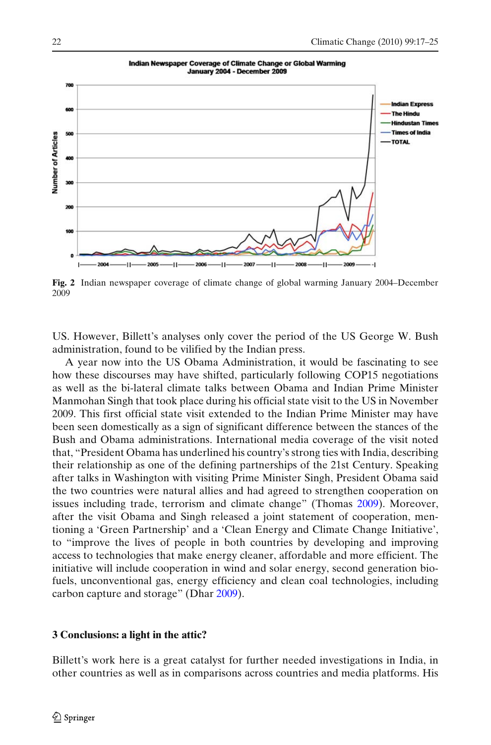<span id="page-5-0"></span>

**Fig. 2** Indian newspaper coverage of climate change of global warming January 2004–December 2009

US. However, Billett's analyses only cover the period of the US George W. Bush administration, found to be vilified by the Indian press.

A year now into the US Obama Administration, it would be fascinating to see how these discourses may have shifted, particularly following COP15 negotiations as well as the bi-lateral climate talks between Obama and Indian Prime Minister Manmohan Singh that took place during his official state visit to the US in November 2009. This first official state visit extended to the Indian Prime Minister may have been seen domestically as a sign of significant difference between the stances of the Bush and Obama administrations. International media coverage of the visit noted that, "President Obama has underlined his country's strong ties with India, describing their relationship as one of the defining partnerships of the 21st Century. Speaking after talks in Washington with visiting Prime Minister Singh, President Obama said the two countries were natural allies and had agreed to strengthen cooperation on issues including trade, terrorism and climate change" (Thoma[s](#page-8-0) [2009\)](#page-8-0). Moreover, after the visit Obama and Singh released a joint statement of cooperation, mentioning a 'Green Partnership' and a 'Clean Energy and Climate Change Initiative', to "improve the lives of people in both countries by developing and improving access to technologies that make energy cleaner, affordable and more efficient. The initiative will include cooperation in wind and solar energy, second generation biofuels, unconventional gas, energy efficiency and clean coal technologies, including carbon capture and storage" (Dha[r](#page-8-0) [2009\)](#page-8-0).

#### **3 Conclusions: a light in the attic?**

Billett's work here is a great catalyst for further needed investigations in India, in other countries as well as in comparisons across countries and media platforms. His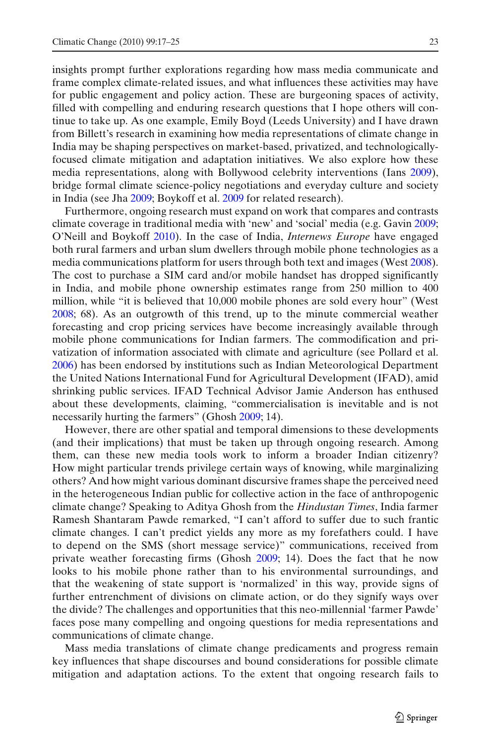insights prompt further explorations regarding how mass media communicate and frame complex climate-related issues, and what influences these activities may have

for public engagement and policy action. These are burgeoning spaces of activity, filled with compelling and enduring research questions that I hope others will continue to take up. As one example, Emily Boyd (Leeds University) and I have drawn from Billett's research in examining how media representations of climate change in India may be shaping perspectives on market-based, privatized, and technologicallyfocused climate mitigation and adaptation initiatives. We also explore how these media representations, along with Bollywood celebrity interventions (Ian[s](#page-8-0) [2009\)](#page-8-0), bridge formal climate science-policy negotiations and everyday culture and society in India (see Jha [2009;](#page-8-0) Boykoff et al. [2009](#page-7-0) for related research).

Furthermore, ongoing research must expand on work that compares and contrasts climate coverage in traditional media with 'new' and 'social' media (e.g. Gavi[n](#page-8-0) [2009](#page-8-0); O'Neill and Boykof[f](#page-8-0) [2010\)](#page-8-0). In the case of India, *Internews Europe* have engaged both rural farmers and urban slum dwellers through mobile phone technologies as a media communications platform for users through both text and images (Wes[t](#page-8-0) [2008\)](#page-8-0). The cost to purchase a SIM card and/or mobile handset has dropped significantly in India, and mobile phone ownership estimates range from 250 million to 400 million, while "it is believed that 10,000 mobile phones are sold every hour" (West [2008;](#page-8-0) 68). As an outgrowth of this trend, up to the minute commercial weather forecasting and crop pricing services have become increasingly available through mobile phone communications for Indian farmers. The commodification and privatization of information associated with climate and agriculture (see Pollard et al[.](#page-8-0) [2006\)](#page-8-0) has been endorsed by institutions such as Indian Meteorological Department the United Nations International Fund for Agricultural Development (IFAD), amid shrinking public services. IFAD Technical Advisor Jamie Anderson has enthused about these developments, claiming, "commercialisation is inevitable and is not necessarily hurting the farmers" (Ghosh [2009](#page-8-0); 14).

However, there are other spatial and temporal dimensions to these developments (and their implications) that must be taken up through ongoing research. Among them, can these new media tools work to inform a broader Indian citizenry? How might particular trends privilege certain ways of knowing, while marginalizing others? And how might various dominant discursive frames shape the perceived need in the heterogeneous Indian public for collective action in the face of anthropogenic climate change? Speaking to Aditya Ghosh from the *Hindustan Times*, India farmer Ramesh Shantaram Pawde remarked, "I can't afford to suffer due to such frantic climate changes. I can't predict yields any more as my forefathers could. I have to depend on the SMS (short message service)" communications, received from private weather forecasting firms (Ghosh [2009;](#page-8-0) 14). Does the fact that he now looks to his mobile phone rather than to his environmental surroundings, and that the weakening of state support is 'normalized' in this way, provide signs of further entrenchment of divisions on climate action, or do they signify ways over the divide? The challenges and opportunities that this neo-millennial 'farmer Pawde' faces pose many compelling and ongoing questions for media representations and communications of climate change.

Mass media translations of climate change predicaments and progress remain key influences that shape discourses and bound considerations for possible climate mitigation and adaptation actions. To the extent that ongoing research fails to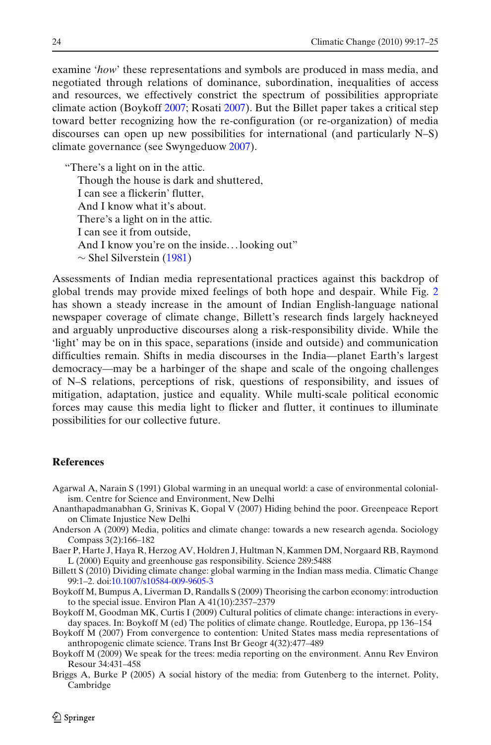<span id="page-7-0"></span>examine '*how*' these representations and symbols are produced in mass media, and negotiated through relations of dominance, subordination, inequalities of access and resources, we effectively constrict the spectrum of possibilities appropriate climate action (Boykoff 2007; Rosat[i](#page-8-0) [2007\)](#page-8-0). But the Billet paper takes a critical step toward better recognizing how the re-configuration (or re-organization) of media discourses can open up new possibilities for international (and particularly N–S) climate governance (see Swyngeduo[w](#page-8-0) [2007](#page-8-0)).

"There's a light on in the attic.

Though the house is dark and shuttered, I can see a flickerin' flutter, And I know what it's about. There's a light on in the attic. I can see it from outside, And I know you're on the inside...looking out" ∼ Shel Silverstein [\(1981\)](#page-8-0)

Assessments of Indian media representational practices against this backdrop of global trends may provide mixed feelings of both hope and despair. While Fig. [2](#page-5-0) has shown a steady increase in the amount of Indian English-language national newspaper coverage of climate change, Billett's research finds largely hackneyed and arguably unproductive discourses along a risk-responsibility divide. While the 'light' may be on in this space, separations (inside and outside) and communication difficulties remain. Shifts in media discourses in the India—planet Earth's largest democracy—may be a harbinger of the shape and scale of the ongoing challenges of N–S relations, perceptions of risk, questions of responsibility, and issues of mitigation, adaptation, justice and equality. While multi-scale political economic forces may cause this media light to flicker and flutter, it continues to illuminate possibilities for our collective future.

## **References**

- Agarwal A, Narain S (1991) Global warming in an unequal world: a case of environmental colonialism. Centre for Science and Environment, New Delhi
- Ananthapadmanabhan G, Srinivas K, Gopal V (2007) Hiding behind the poor. Greenpeace Report on Climate Injustice New Delhi
- Anderson A (2009) Media, politics and climate change: towards a new research agenda. Sociology Compass 3(2):166–182
- Baer P, Harte J, Haya R, Herzog AV, Holdren J, Hultman N, Kammen DM, Norgaard RB, Raymond L (2000) Equity and greenhouse gas responsibility. Science 289:5488
- Billett S (2010) Dividing climate change: global warming in the Indian mass media. Climatic Change 99:1–2. doi[:10.1007/s10584-009-9605-3](http://dx.doi.org/10.1007/s10584-009-9605-3)
- Boykoff M, Bumpus A, Liverman D, Randalls S (2009) Theorising the carbon economy: introduction to the special issue. Environ Plan A 41(10):2357–2379
- Boykoff M, Goodman MK, Curtis I (2009) Cultural politics of climate change: interactions in everyday spaces. In: Boykoff M (ed) The politics of climate change. Routledge, Europa, pp 136–154
- Boykoff M (2007) From convergence to contention: United States mass media representations of anthropogenic climate science. Trans Inst Br Geogr 4(32):477–489
- Boykoff M (2009) We speak for the trees: media reporting on the environment. Annu Rev Environ Resour 34:431–458
- Briggs A, Burke P (2005) A social history of the media: from Gutenberg to the internet. Polity, Cambridge